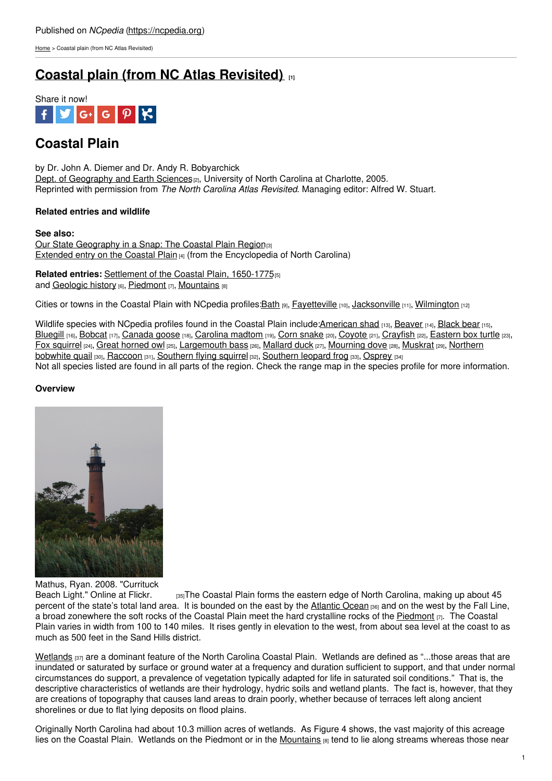[Home](https://ncpedia.org/) > Coastal plain (from NC Atlas Revisited)

# **Coastal plain (from NC Atlas [Revisited\)](https://ncpedia.org/geography/region/coastal-plain/ncatlasrevisited) [1]**



## **Coastal Plain**

by Dr. John A. Diemer and Dr. Andy R. Bobyarchick Dept. of [Geography](https://geoearth.charlotte.edu/) and Earth Sciences<sup>[2]</sup>, University of North Carolina at Charlotte, 2005. Reprinted with permission from *The North Carolina Atlas Revisited*. Managing editor: Alfred W. Stuart.

### **Related entries and wildlife**

#### **See also:**

Our State [Geography](https://ncpedia.org/geography/region/coastal-plain) in a Snap: The [Coastal](http://www.social9.com) Plain Region<sup>[3]</sup> [Extended](https://ncpedia.org/geography-part-2-cradle-north) entry on the Coastal Plain  $[4]$  (from the Encyclopedia of North Carolina)

**Related entries: [Settlement](https://ncpedia.org/history/colonial/coastal-plain) of the Coastal Plain, 1650-1775<sup>[5]</sup>** and [Geologic](https://ncpedia.org/geologic-history-nc-atlas-revisited) history [6], [Piedmont](https://ncpedia.org/geography/region/piedmont) [7], [Mountains](https://ncpedia.org/our-state-geography-snap-mountain) [8]

Cities or towns in the Coastal Plain with NCpedia profiles: Bath [9], [Fayetteville](https://ncpedia.org/fayetteville-0) [10], [Jacksonville](https://ncpedia.org/jacksonville) [11], [Wilmington](https://ncpedia.org/geography/wilmington) [12]

Wildlife species with NCpedia profiles found in the Coastal Plain include[:American](https://ncpedia.org/american-shad-nc-wins) shad [13], [Beaver](https://ncpedia.org/beaver-nc-wins) [14], [Black](https://ncpedia.org/black-bear-nc-wins) bear [15], [Bluegill](https://ncpedia.org/bluegill-nc-wins) [16], [Bobcat](https://ncpedia.org/bobcat-nc-wins) [17], [Canada](https://ncpedia.org/canada-goose-nc-wins) goose [18], [Carolina](https://ncpedia.org/carolina-madtom-nc-wins) madtom [19], Corn [snake](https://ncpedia.org/corn-snake-nc-wins) [20], [Coyote](https://ncpedia.org/coyote-nc-wins) [21], [Crayfish](https://ncpedia.org/crayfish-nc-wins) [22], [Eastern](https://ncpedia.org/eastern-box-turtle-nc-wins) box turtle [23], Fox [squirrel](https://ncpedia.org/fox-squirrel-nc-wins) [24], Great [horned](https://ncpedia.org/wildlife/great-horned-owl) owl [25], [Largemouth](https://ncpedia.org/northern-bobwhite-quail-nc-wins) bass [26], [Mallard](https://ncpedia.org/mallard-duck-nc-wins) duck [27], [Mourning](https://ncpedia.org/mourning-dove-nc-wins) dove [28], [Muskrat](https://ncpedia.org/muskrat-nc-wins) [29], Northern bobwhite quail [30], [Raccoon](https://ncpedia.org/wildlife/raccoon) [31], [Southern](https://ncpedia.org/southern-leopard-frog-nc-wins) flying squirrel [32], Southern leopard frog [33], [Osprey](https://ncpedia.org/wildlife/osprey) [34] Not all species listed are found in all parts of the region. Check the range map in the species profile for more information.

### **Overview**



Mathus, Ryan. 2008. "Currituck<br>Beach Light." Online at Flickr.

 $_{55}$ The Coastal Plain forms the eastern edge of North Carolina, making up about 45 percent of the state's total land area. It is bounded on the east by the [Atlantic](https://www.cia.gov/the-world-factbook/oceans/atlantic-ocean/) Ocean [36] and on the west by the Fall Line, a broad zonewhere the soft rocks of the Coastal Plain meet the hard crystalline rocks of the [Piedmont](https://ncpedia.org/geography/region/piedmont)  $|7|$ . The Coastal Plain varies in width from 100 to 140 miles. It rises gently in elevation to the west, from about sea level at the coast to as much as 500 feet in the Sand Hills district.

[Wetlands](https://www.ncpedia.org/wetlands) [37] are a dominant feature of the North Carolina Coastal Plain. Wetlands are defined as "...those areas that are inundated or saturated by surface or ground water at a frequency and duration sufficient to support, and that under normal circumstances do support, a prevalence of vegetation typically adapted for life in saturated soil conditions." That is, the descriptive characteristics of wetlands are their hydrology, hydric soils and wetland plants. The fact is, however, that they are creations of topography that causes land areas to drain poorly, whether because of terraces left along ancient shorelines or due to flat lying deposits on flood plains.

Originally North Carolina had about 10.3 million acres of wetlands. As Figure 4 shows, the vast majority of this acreage lies on the Coastal Plain. Wetlands on the Piedmont or in the [Mountains](https://ncpedia.org/our-state-geography-snap-mountain) [8] tend to lie along streams whereas those near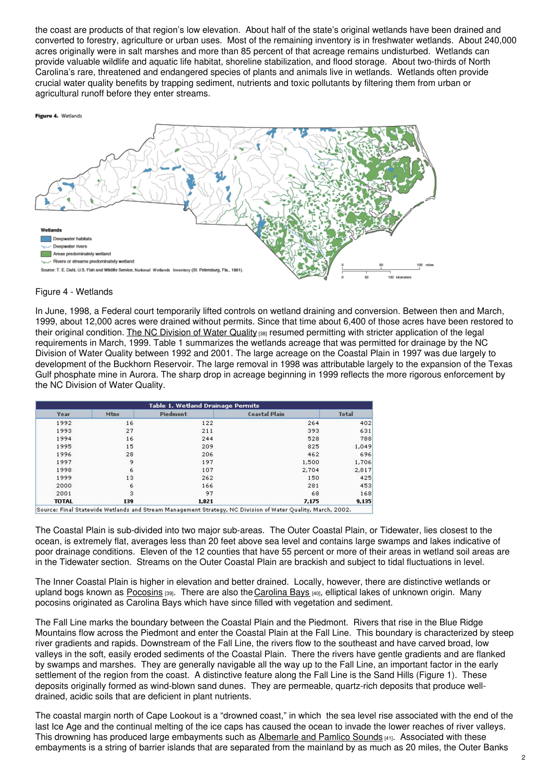the coast are products of that region's low elevation. About half of the state's original wetlands have been drained and converted to forestry, agriculture or urban uses. Most of the remaining inventory is in freshwater wetlands. About 240,000 acres originally were in salt marshes and more than 85 percent of that acreage remains undisturbed. Wetlands can provide valuable wildlife and aquatic life habitat, shoreline stabilization, and flood storage. About two-thirds of North Carolina's rare, threatened and endangered species of plants and animals live in wetlands. Wetlands often provide crucial water quality benefits by trapping sediment, nutrients and toxic pollutants by filtering them from urban or agricultural runoff before they enter streams.



#### Figure 4 - Wetlands

In June, 1998, a Federal court temporarily lifted controls on wetland draining and conversion. Between then and March, 1999, about 12,000 acres were drained without permits. Since that time about 6,400 of those acres have been restored to their original condition. The NC [Division](http://portal.ncdenr.org/web/wq) of Water Quality [38] resumed permitting with stricter application of the legal requirements in March, 1999. Table 1 summarizes the wetlands acreage that was permitted for drainage by the NC Division of Water Quality between 1992 and 2001. The large acreage on the Coastal Plain in 1997 was due largely to development of the Buckhorn Reservoir. The large removal in 1998 was attributable largely to the expansion of the Texas Gulf phosphate mine in Aurora. The sharp drop in acreage beginning in 1999 reflects the more rigorous enforcement by the NC Division of Water Quality.

| Year         | Mtns | Piedmont | <b>Coastal Plain</b> | <b>Total</b> |
|--------------|------|----------|----------------------|--------------|
|              |      |          |                      |              |
| 1992         | 16   | 122      | 264                  | 402          |
| 1993         | 27   | 211      | 393                  | 631          |
| 1994         | 16   | 244      | 528                  | 788          |
| 1995         | 15   | 209      | 825                  | 1,049        |
| 1996         | 28   | 206      | 462                  | 696          |
| 1997         | 9    | 197      | 1,500                | 1,706        |
| 1998         | 6    | 107      | 2,704                | 2,817        |
| 1999         | 13   | 262      | 150                  | 425          |
| 2000         | 6    | 166      | 281                  | 453          |
| 2001         | 3    | 97       | 68                   | 168          |
| <b>TOTAL</b> | 139  | 1,821    | 7,175                | 9,135        |

Source: Final Statewide Wetlands and Stream Management Strategy, NC Division of Water Quality, March, 2002.

The Coastal Plain is sub-divided into two major sub-areas. The Outer Coastal Plain, or Tidewater, lies closest to the ocean, is extremely flat, averages less than 20 feet above sea level and contains large swamps and lakes indicative of poor drainage conditions. Eleven of the 12 counties that have 55 percent or more of their areas in wetland soil areas are in the Tidewater section. Streams on the Outer Coastal Plain are brackish and subject to tidal fluctuations in level.

The Inner Coastal Plain is higher in elevation and better drained. Locally, however, there are distinctive wetlands or upland bogs known as [Pocosins](https://www.ncpedia.org/pocosins) [39]. There are also the [Carolina](https://ncpedia.org/carolina-bays) Bays [40], elliptical lakes of unknown origin. Many pocosins originated as Carolina Bays which have since filled with vegetation and sediment.

The Fall Line marks the boundary between the Coastal Plain and the Piedmont. Rivers that rise in the Blue Ridge Mountains flow across the Piedmont and enter the Coastal Plain at the Fall Line. This boundary is characterized by steep river gradients and rapids. Downstream of the Fall Line, the rivers flow to the southeast and have carved broad, low valleys in the soft, easily eroded sediments of the Coastal Plain. There the rivers have gentle gradients and are flanked by swamps and marshes. They are generally navigable all the way up to the Fall Line, an important factor in the early settlement of the region from the coast. A distinctive feature along the Fall Line is the Sand Hills (Figure 1). These deposits originally formed as wind-blown sand dunes. They are permeable, quartz-rich deposits that produce welldrained, acidic soils that are deficient in plant nutrients.

The coastal margin north of Cape Lookout is a "drowned coast," in which the sea level rise associated with the end of the last Ice Age and the continual melting of the ice caps has caused the ocean to invade the lower reaches of river valleys. This drowning has produced large embayments such as [Albemarle](https://www.ncpedia.org/sounds) and Pamlico Sounds [41]. Associated with these embayments is a string of barrier islands that are separated from the mainland by as much as 20 miles, the Outer Banks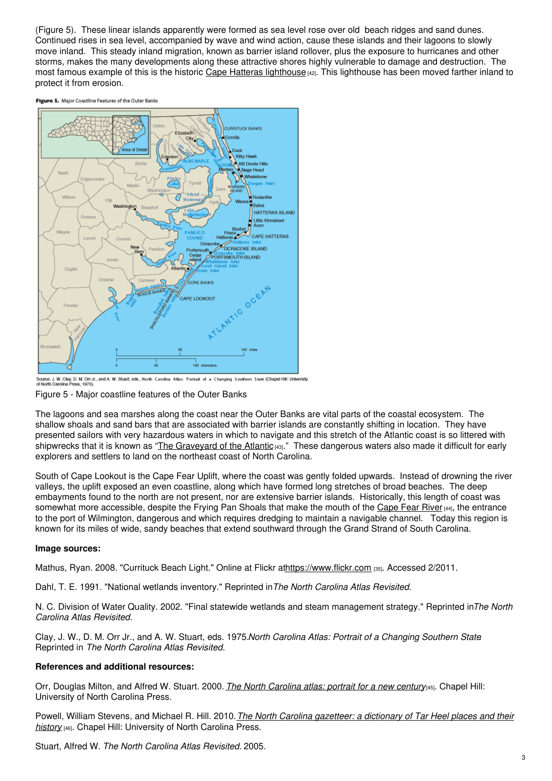(Figure 5). These linear islands apparently were formed as sea level rose over old beach ridges and sand dunes. Continued rises in sea level, accompanied by wave and wind action, cause these islands and their lagoons to slowly move inland. This steady inland migration, known as barrier island rollover, plus the exposure to hurricanes and other storms, makes the many developments along these attractive shores highly vulnerable to damage and destruction. The most famous example of this is the historic Cape Hatteras [lighthouse](https://ncpedia.org/cape-hatteras-lighthouse) [42]. This lighthouse has been moved farther inland to protect it from erosion.

Figure 5. Major Coastline Features of the Outer Banks



Lource: J. W. Clay, D. M. Orr Jr., and A. W. Stuart, eds., North Carolina Atlas: Portrait of a Changing Southern State (Chapel Hill: University<br>Solventh Carolina Press, 1975). Figure 5 - Major coastline features of the Outer Banks

The lagoons and sea marshes along the coast near the Outer Banks are vital parts of the coastal ecosystem. The shallow shoals and sand bars that are associated with barrier islands are constantly shifting in location. They have presented sailors with very hazardous waters in which to navigate and this stretch of the Atlantic coast is so littered with shipwrecks that it is known as "The [Graveyard](https://ncpedia.org/graveyard-atlantic) of the Atlantic [43]." These dangerous waters also made it difficult for early explorers and settlers to land on the northeast coast of North Carolina.

South of Cape Lookout is the Cape Fear Uplift, where the coast was gently folded upwards. Instead of drowning the river valleys, the uplift exposed an even coastline, along which have formed long stretches of broad beaches. The deep embayments found to the north are not present, nor are extensive barrier islands. Historically, this length of coast was somewhat more accessible, despite the Frying Pan Shoals that make the mouth of the [Cape](https://ncpedia.org/rivers/cape-fear) Fear River [44], the entrance to the port of Wilmington, dangerous and which requires dredging to maintain a navigable channel. Today this region is known for its miles of wide, sandy beaches that extend southward through the Grand Strand of South Carolina.

### **Image sources:**

Mathus, Ryan. 2008. "Currituck Beach Light." Online at Flickr at<https://www.flickr.com> [35]. Accessed 2/2011.

Dahl, T. E. 1991. "National wetlands inventory." Reprinted in*The North Carolina Atlas Revisited*.

N. C. Division of Water Quality. 2002. "Final statewide wetlands and steam management strategy." Reprinted in*The North Carolina Atlas Revisited.*

Clay, J. W., D. M. Orr Jr., and A. W. Stuart, eds. 1975.*North Carolina Atlas: Portrait of a Changing Southern State*. Reprinted in *The North Carolina Atlas Revisited.*

### **References and additional resources:**

Orr, Douglas Milton, and Alfred W. Stuart. 2000. *The North [Carolina](https://www.worldcat.org/oclc/43894925) atlas: portrait for a new century*[45]. Chapel Hill: University of North Carolina Press.

Powell, William Stevens, and Michael R. Hill. 2010.*The North Carolina [gazetteer:](https://www.worldcat.org/oclc/441211592) a dictionary of Tar Heel places and their history* [46]. Chapel Hill: University of North Carolina Press.

Stuart, Alfred W. *The North Carolina Atlas Revisited.* 2005.